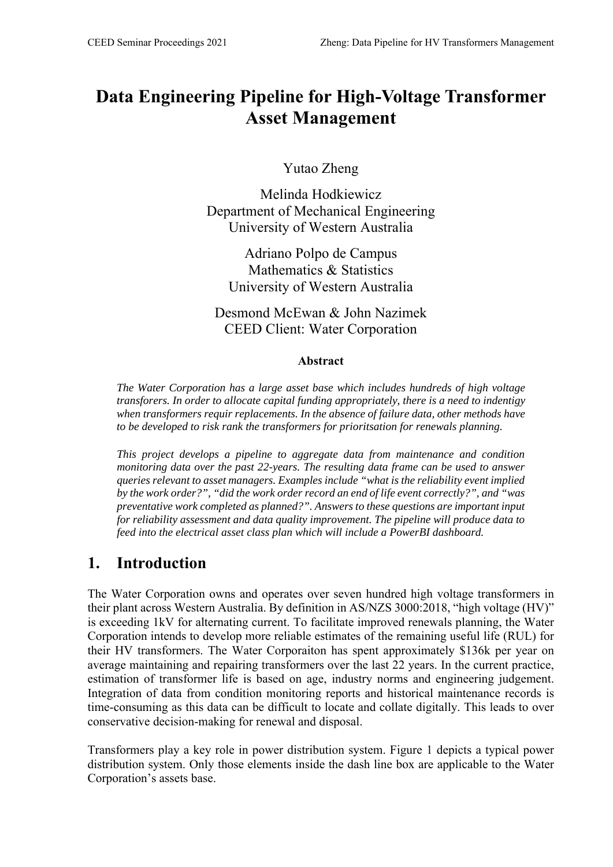# **Data Engineering Pipeline for High-Voltage Transformer Asset Management**

Yutao Zheng

Melinda Hodkiewicz Department of Mechanical Engineering University of Western Australia

Adriano Polpo de Campus Mathematics & Statistics University of Western Australia

Desmond McEwan & John Nazimek CEED Client: Water Corporation

#### **Abstract**

*The Water Corporation has a large asset base which includes hundreds of high voltage transforers. In order to allocate capital funding appropriately, there is a need to indentigy when transformers requir replacements. In the absence of failure data, other methods have to be developed to risk rank the transformers for prioritsation for renewals planning.* 

*This project develops a pipeline to aggregate data from maintenance and condition monitoring data over the past 22-years. The resulting data frame can be used to answer queries relevant to asset managers. Examples include "what is the reliability event implied by the work order?", "did the work order record an end of life event correctly?", and "was preventative work completed as planned?". Answers to these questions are important input for reliability assessment and data quality improvement. The pipeline will produce data to feed into the electrical asset class plan which will include a PowerBI dashboard.* 

## **1. Introduction**

The Water Corporation owns and operates over seven hundred high voltage transformers in their plant across Western Australia. By definition in AS/NZS 3000:2018, "high voltage (HV)" is exceeding 1kV for alternating current. To facilitate improved renewals planning, the Water Corporation intends to develop more reliable estimates of the remaining useful life (RUL) for their HV transformers. The Water Corporaiton has spent approximately \$136k per year on average maintaining and repairing transformers over the last 22 years. In the current practice, estimation of transformer life is based on age, industry norms and engineering judgement. Integration of data from condition monitoring reports and historical maintenance records is time-consuming as this data can be difficult to locate and collate digitally. This leads to over conservative decision-making for renewal and disposal.

Transformers play a key role in power distribution system. Figure 1 depicts a typical power distribution system. Only those elements inside the dash line box are applicable to the Water Corporation's assets base.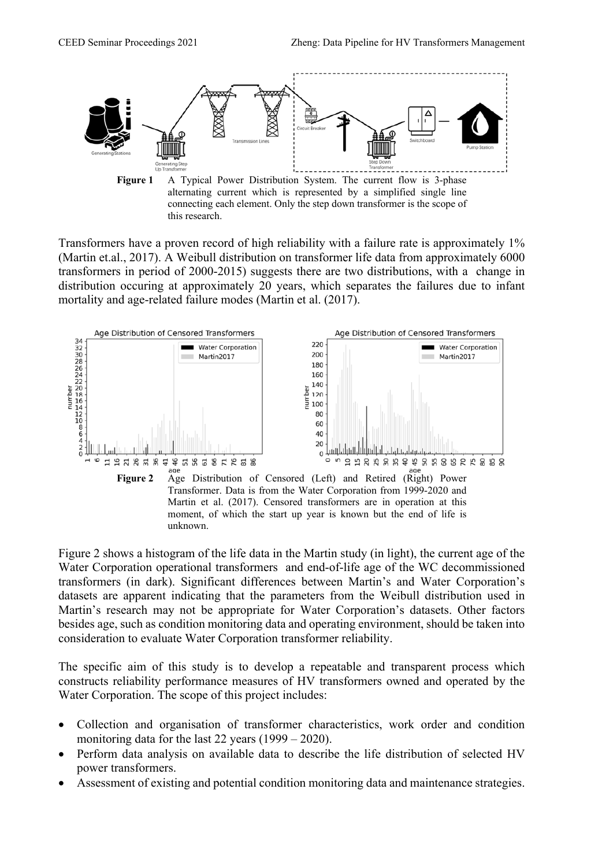

this research.

Transformers have a proven record of high reliability with a failure rate is approximately 1% (Martin et.al., 2017). A Weibull distribution on transformer life data from approximately 6000 transformers in period of 2000-2015) suggests there are two distributions, with a change in distribution occuring at approximately 20 years, which separates the failures due to infant mortality and age-related failure modes (Martin et al. (2017).



Figure 2 shows a histogram of the life data in the Martin study (in light), the current age of the Water Corporation operational transformers and end-of-life age of the WC decommissioned transformers (in dark). Significant differences between Martin's and Water Corporation's datasets are apparent indicating that the parameters from the Weibull distribution used in Martin's research may not be appropriate for Water Corporation's datasets. Other factors besides age, such as condition monitoring data and operating environment, should be taken into consideration to evaluate Water Corporation transformer reliability.

The specific aim of this study is to develop a repeatable and transparent process which constructs reliability performance measures of HV transformers owned and operated by the Water Corporation. The scope of this project includes:

- Collection and organisation of transformer characteristics, work order and condition monitoring data for the last 22 years (1999 – 2020).
- Perform data analysis on available data to describe the life distribution of selected HV power transformers.
- Assessment of existing and potential condition monitoring data and maintenance strategies.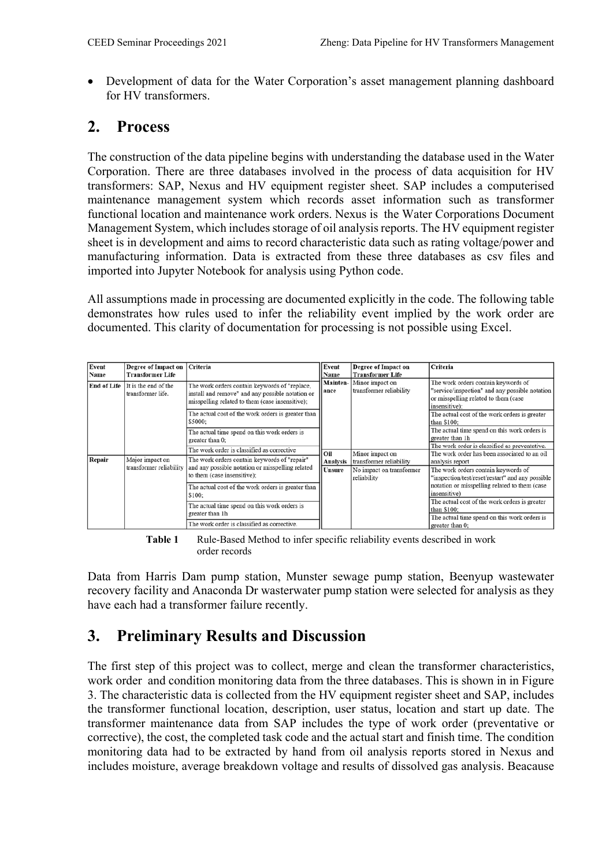Development of data for the Water Corporation's asset management planning dashboard for HV transformers.

## **2. Process**

The construction of the data pipeline begins with understanding the database used in the Water Corporation. There are three databases involved in the process of data acquisition for HV transformers: SAP, Nexus and HV equipment register sheet. SAP includes a computerised maintenance management system which records asset information such as transformer functional location and maintenance work orders. Nexus is the Water Corporations Document Management System, which includes storage of oil analysis reports. The HV equipment register sheet is in development and aims to record characteristic data such as rating voltage/power and manufacturing information. Data is extracted from these three databases as csv files and imported into Jupyter Notebook for analysis using Python code.

All assumptions made in processing are documented explicitly in the code. The following table demonstrates how rules used to infer the reliability event implied by the work order are documented. This clarity of documentation for processing is not possible using Excel.

| Event<br>Name | Degree of Impact on   Criteria<br><b>Transformer Life</b> |                                                                                                                                                      | Event<br>Name    | Degree of Impact on<br><b>Transformer Life</b> | Criteria                                                                                                                                       |
|---------------|-----------------------------------------------------------|------------------------------------------------------------------------------------------------------------------------------------------------------|------------------|------------------------------------------------|------------------------------------------------------------------------------------------------------------------------------------------------|
| End of Life   | It is the end of the<br>transformer life.                 | The work orders contain keywords of "replace,<br>install and remove" and any possible notation or<br>misspelling related to them (case insensitive); | Mainten-<br>ance | Minor impact on<br>transformer reliability     | The work orders contain keywords of<br>"service/inspection" and any possible notation<br>or misspelling related to them (case<br>insensitive); |
|               |                                                           | The actual cost of the work orders is greater than<br>\$5000:                                                                                        |                  |                                                | The actual cost of the work orders is greater<br>than \$100:                                                                                   |
|               |                                                           | The actual time spend on this work orders is<br>greater than 0:                                                                                      |                  |                                                | The actual time spend on this work orders is<br>greater than 1h                                                                                |
|               |                                                           | The work order is classified as corrective                                                                                                           | Oil              | Minor impact on                                | The work order is classified as preventative.<br>The work order has been associated to an oil                                                  |
| Repair        | Major impact on                                           | The work orders contain keywords of "repair"                                                                                                         | Analysis         | transformer reliability                        | analysis report                                                                                                                                |
|               | transformer reliability                                   | and any possible notation or misspelling related<br>to them (case insensitive);                                                                      | <b>Unsure</b>    | No impact on transformer<br>reliability        | The work orders contain keywords of<br>"inspection/test/reset/restart" and any possible                                                        |
|               |                                                           | The actual cost of the work orders is greater than<br>\$100:                                                                                         |                  |                                                | notation or misspelling related to them (case<br>insensitive)                                                                                  |
|               |                                                           | The actual time spend on this work orders is<br>greater than 1h                                                                                      |                  |                                                | The actual cost of the work orders is greater<br>than \$100:                                                                                   |
|               |                                                           | The work order is classified as corrective.                                                                                                          |                  |                                                | The actual time spend on this work orders is<br>greater than 0:                                                                                |

Table 1 Rule-Based Method to infer specific reliability events described in work order records

Data from Harris Dam pump station, Munster sewage pump station, Beenyup wastewater recovery facility and Anaconda Dr wasterwater pump station were selected for analysis as they have each had a transformer failure recently.

## **3. Preliminary Results and Discussion**

The first step of this project was to collect, merge and clean the transformer characteristics, work order and condition monitoring data from the three databases. This is shown in in Figure 3. The characteristic data is collected from the HV equipment register sheet and SAP, includes the transformer functional location, description, user status, location and start up date. The transformer maintenance data from SAP includes the type of work order (preventative or corrective), the cost, the completed task code and the actual start and finish time. The condition monitoring data had to be extracted by hand from oil analysis reports stored in Nexus and includes moisture, average breakdown voltage and results of dissolved gas analysis. Beacause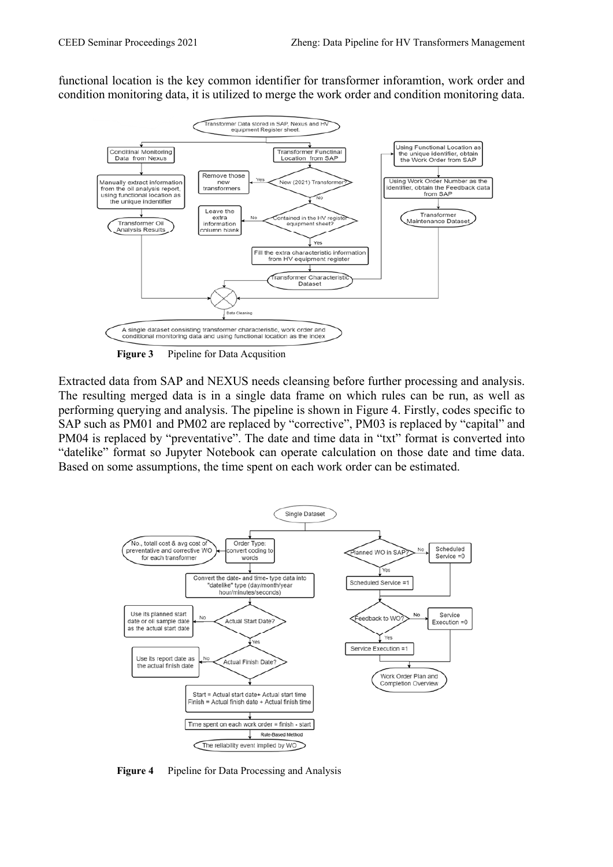functional location is the key common identifier for transformer inforamtion, work order and condition monitoring data, it is utilized to merge the work order and condition monitoring data.



**Figure 3** Pipeline for Data Acqusition

Extracted data from SAP and NEXUS needs cleansing before further processing and analysis. The resulting merged data is in a single data frame on which rules can be run, as well as performing querying and analysis. The pipeline is shown in Figure 4. Firstly, codes specific to SAP such as PM01 and PM02 are replaced by "corrective", PM03 is replaced by "capital" and PM04 is replaced by "preventative". The date and time data in "txt" format is converted into "datelike" format so Jupyter Notebook can operate calculation on those date and time data. Based on some assumptions, the time spent on each work order can be estimated.



**Figure 4** Pipeline for Data Processing and Analysis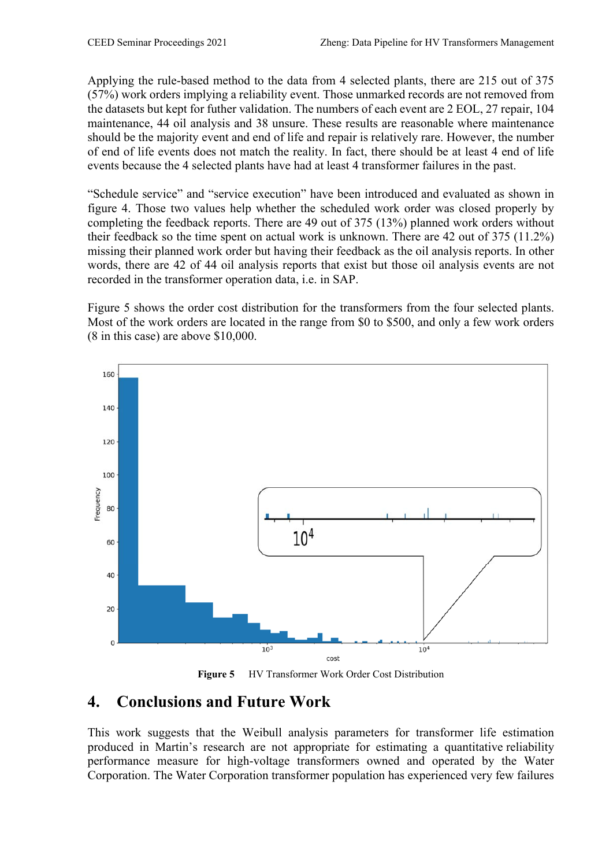Applying the rule-based method to the data from 4 selected plants, there are 215 out of 375 (57%) work orders implying a reliability event. Those unmarked records are not removed from the datasets but kept for futher validation. The numbers of each event are 2 EOL, 27 repair, 104 maintenance, 44 oil analysis and 38 unsure. These results are reasonable where maintenance should be the majority event and end of life and repair is relatively rare. However, the number of end of life events does not match the reality. In fact, there should be at least 4 end of life events because the 4 selected plants have had at least 4 transformer failures in the past.

"Schedule service" and "service execution" have been introduced and evaluated as shown in figure 4. Those two values help whether the scheduled work order was closed properly by completing the feedback reports. There are 49 out of 375 (13%) planned work orders without their feedback so the time spent on actual work is unknown. There are 42 out of 375 (11.2%) missing their planned work order but having their feedback as the oil analysis reports. In other words, there are 42 of 44 oil analysis reports that exist but those oil analysis events are not recorded in the transformer operation data, i.e. in SAP.

Figure 5 shows the order cost distribution for the transformers from the four selected plants. Most of the work orders are located in the range from \$0 to \$500, and only a few work orders (8 in this case) are above \$10,000.



**Figure 5** HV Transformer Work Order Cost Distribution

#### **4. Conclusions and Future Work**

This work suggests that the Weibull analysis parameters for transformer life estimation produced in Martin's research are not appropriate for estimating a quantitative reliability performance measure for high-voltage transformers owned and operated by the Water Corporation. The Water Corporation transformer population has experienced very few failures